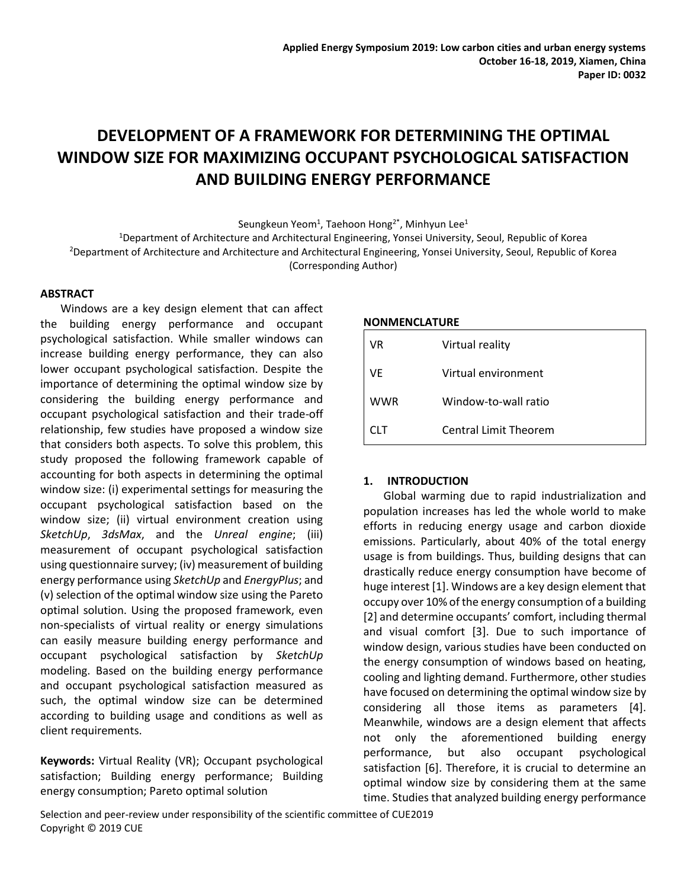# **DEVELOPMENT OF A FRAMEWORK FOR DETERMINING THE OPTIMAL WINDOW SIZE FOR MAXIMIZING OCCUPANT PSYCHOLOGICAL SATISFACTION AND BUILDING ENERGY PERFORMANCE**

Seungkeun Yeom<sup>1</sup>, Taehoon Hong<sup>2\*</sup>, Minhyun Lee<sup>1</sup>

<sup>1</sup>Department of Architecture and Architectural Engineering, Yonsei University, Seoul, Republic of Korea

<sup>2</sup>Department of Architecture and Architecture and Architectural Engineering, Yonsei University, Seoul, Republic of Korea (Corresponding Author)

**ABSTRACT**

Windows are a key design element that can affect the building energy performance and occupant psychological satisfaction. While smaller windows can increase building energy performance, they can also lower occupant psychological satisfaction. Despite the importance of determining the optimal window size by considering the building energy performance and occupant psychological satisfaction and their trade-off relationship, few studies have proposed a window size that considers both aspects. To solve this problem, this study proposed the following framework capable of accounting for both aspects in determining the optimal window size: (i) experimental settings for measuring the occupant psychological satisfaction based on the window size; (ii) virtual environment creation using *SketchUp*, *3dsMax*, and the *Unreal engine*; (iii) measurement of occupant psychological satisfaction using questionnaire survey; (iv) measurement of building energy performance using *SketchUp* and *EnergyPlus*; and (v) selection of the optimal window size using the Pareto optimal solution. Using the proposed framework, even non-specialists of virtual reality or energy simulations can easily measure building energy performance and occupant psychological satisfaction by *SketchUp* modeling. Based on the building energy performance and occupant psychological satisfaction measured as such, the optimal window size can be determined according to building usage and conditions as well as client requirements.

**Keywords:** Virtual Reality (VR); Occupant psychological satisfaction; Building energy performance; Building energy consumption; Pareto optimal solution

#### **NONMENCLATURE**

| VR         | Virtual reality              |
|------------|------------------------------|
| VF         | Virtual environment          |
| <b>WWR</b> | Window-to-wall ratio         |
| CI T       | <b>Central Limit Theorem</b> |

# **1. INTRODUCTION**

Global warming due to rapid industrialization and population increases has led the whole world to make efforts in reducing energy usage and carbon dioxide emissions. Particularly, about 40% of the total energy usage is from buildings. Thus, building designs that can drastically reduce energy consumption have become of huge interest [1]. Windows are a key design element that occupy over 10% of the energy consumption of a building [2] and determine occupants' comfort, including thermal and visual comfort [3]. Due to such importance of window design, various studies have been conducted on the energy consumption of windows based on heating, cooling and lighting demand. Furthermore, other studies have focused on determining the optimal window size by considering all those items as parameters [4]. Meanwhile, windows are a design element that affects not only the aforementioned building energy performance, but also occupant psychological satisfaction [6]. Therefore, it is crucial to determine an optimal window size by considering them at the same time. Studies that analyzed building energy performance

Selection and peer-review under responsibility of the scientific committee of CUE2019 Copyright © 2019 CUE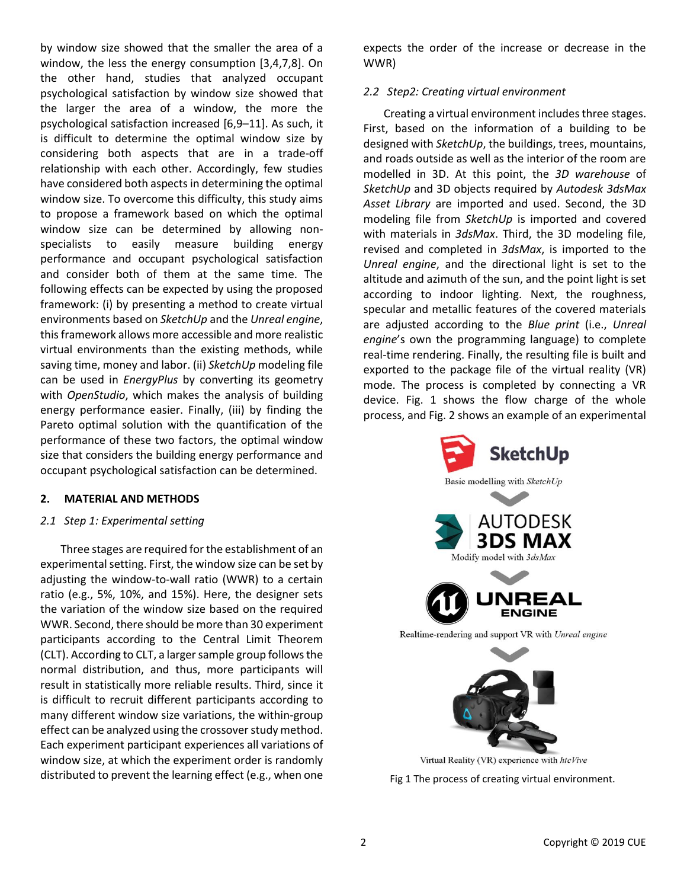by window size showed that the smaller the area of a window, the less the energy consumption [3,4,7,8]. On the other hand, studies that analyzed occupant psychological satisfaction by window size showed that the larger the area of a window, the more the psychological satisfaction increased [6,9–11]. As such, it is difficult to determine the optimal window size by considering both aspects that are in a trade-off relationship with each other. Accordingly, few studies have considered both aspects in determining the optimal window size. To overcome this difficulty, this study aims to propose a framework based on which the optimal window size can be determined by allowing nonspecialists to easily measure building energy performance and occupant psychological satisfaction and consider both of them at the same time. The following effects can be expected by using the proposed framework: (i) by presenting a method to create virtual environments based on *SketchUp* and the *Unreal engine*, this framework allows more accessible and more realistic virtual environments than the existing methods, while saving time, money and labor. (ii) *SketchUp* modeling file can be used in *EnergyPlus* by converting its geometry with *OpenStudio*, which makes the analysis of building energy performance easier. Finally, (iii) by finding the Pareto optimal solution with the quantification of the performance of these two factors, the optimal window size that considers the building energy performance and occupant psychological satisfaction can be determined.

# **2. MATERIAL AND METHODS**

# *2.1 Step 1: Experimental setting*

Three stages are required for the establishment of an experimental setting. First, the window size can be set by adjusting the window-to-wall ratio (WWR) to a certain ratio (e.g., 5%, 10%, and 15%). Here, the designer sets the variation of the window size based on the required WWR. Second, there should be more than 30 experiment participants according to the Central Limit Theorem (CLT). According to CLT, a larger sample group follows the normal distribution, and thus, more participants will result in statistically more reliable results. Third, since it is difficult to recruit different participants according to many different window size variations, the within-group effect can be analyzed using the crossover study method. Each experiment participant experiences all variations of window size, at which the experiment order is randomly distributed to prevent the learning effect (e.g., when one

expects the order of the increase or decrease in the WWR)

#### *2.2 Step2: Creating virtual environment*

Creating a virtual environment includes three stages. First, based on the information of a building to be designed with *SketchUp*, the buildings, trees, mountains, and roads outside as well as the interior of the room are modelled in 3D. At this point, the *3D warehouse* of *SketchUp* and 3D objects required by *Autodesk 3dsMax Asset Library* are imported and used. Second, the 3D modeling file from *SketchUp* is imported and covered with materials in *3dsMax*. Third, the 3D modeling file, revised and completed in *3dsMax*, is imported to the *Unreal engine*, and the directional light is set to the altitude and azimuth of the sun, and the point light is set according to indoor lighting. Next, the roughness, specular and metallic features of the covered materials are adjusted according to the *Blue print* (i.e., *Unreal engine*'s own the programming language) to complete real-time rendering. Finally, the resulting file is built and exported to the package file of the virtual reality (VR) mode. The process is completed by connecting a VR device. Fig. 1 shows the flow charge of the whole process, and Fig. 2 shows an example of an experimental



Fig 1 The process of creating virtual environment.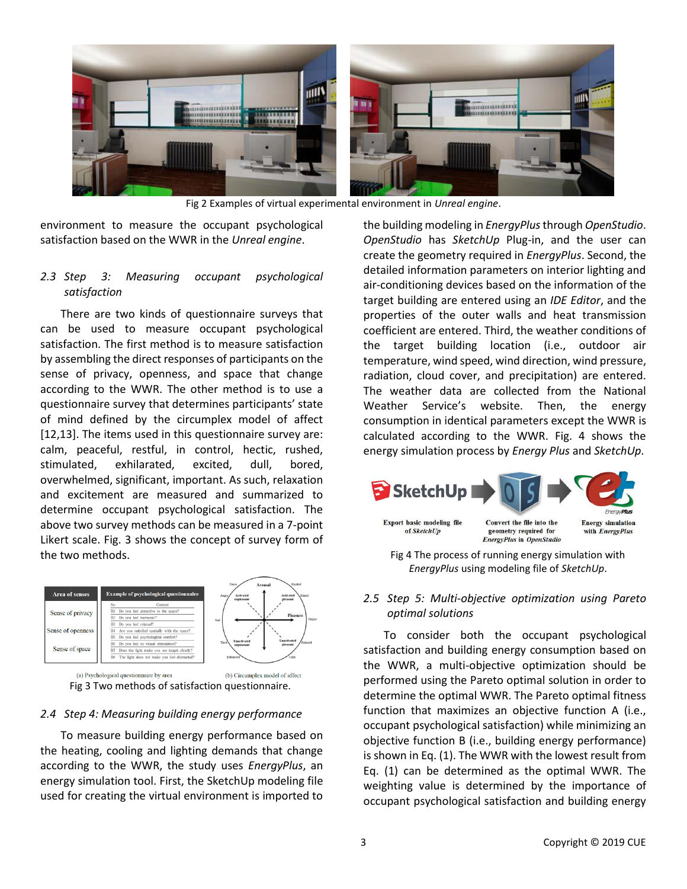

Fig 2 Examples of virtual experimental environment in *Unreal engine*.

environment to measure the occupant psychological satisfaction based on the WWR in the *Unreal engine*.

# *2.3 Step 3: Measuring occupant psychological satisfaction*

There are two kinds of questionnaire surveys that can be used to measure occupant psychological satisfaction. The first method is to measure satisfaction by assembling the direct responses of participants on the sense of privacy, openness, and space that change according to the WWR. The other method is to use a questionnaire survey that determines participants' state of mind defined by the circumplex model of affect [12,13]. The items used in this questionnaire survey are: calm, peaceful, restful, in control, hectic, rushed, stimulated, exhilarated, excited, dull, bored, overwhelmed, significant, important. As such, relaxation and excitement are measured and summarized to determine occupant psychological satisfaction. The above two survey methods can be measured in a 7-point Likert scale. Fig. 3 shows the concept of survey form of the two methods.





# *2.4 Step 4: Measuring building energy performance*

To measure building energy performance based on the heating, cooling and lighting demands that change according to the WWR, the study uses *EnergyPlus*, an energy simulation tool. First, the SketchUp modeling file used for creating the virtual environment is imported to the building modeling in *EnergyPlus*through *OpenStudio*. *OpenStudio* has *SketchUp* Plug-in, and the user can create the geometry required in *EnergyPlus*. Second, the detailed information parameters on interior lighting and air-conditioning devices based on the information of the target building are entered using an *IDE Editor*, and the properties of the outer walls and heat transmission coefficient are entered. Third, the weather conditions of the target building location (i.e., outdoor air temperature, wind speed, wind direction, wind pressure, radiation, cloud cover, and precipitation) are entered. The weather data are collected from the National Weather Service's website. Then, the energy consumption in identical parameters except the WWR is calculated according to the WWR. Fig. 4 shows the energy simulation process by *Energy Plus* and *SketchUp*.



*EnergyPlus* using modeling file of *SketchUp*.

*2.5 Step 5: Multi-objective optimization using Pareto optimal solutions*

To consider both the occupant psychological satisfaction and building energy consumption based on the WWR, a multi-objective optimization should be performed using the Pareto optimal solution in order to determine the optimal WWR. The Pareto optimal fitness function that maximizes an objective function A (i.e., occupant psychological satisfaction) while minimizing an objective function B (i.e., building energy performance) is shown in Eq. (1). The WWR with the lowest result from Eq. (1) can be determined as the optimal WWR. The weighting value is determined by the importance of occupant psychological satisfaction and building energy